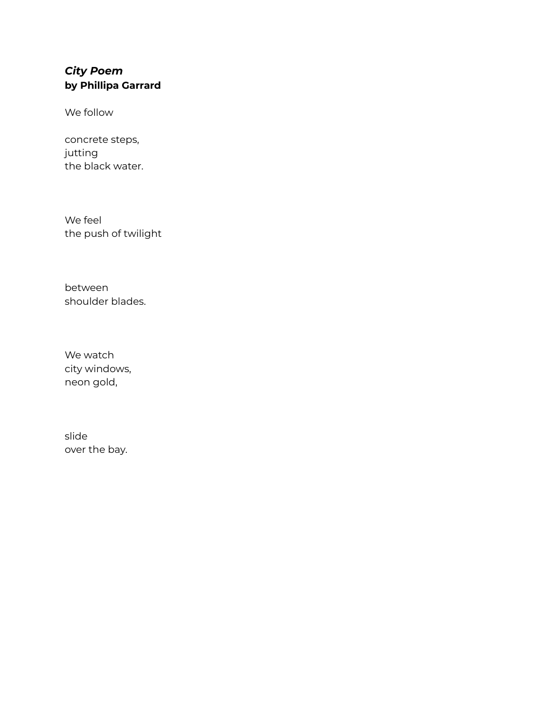# *City Poem* **by Phillipa Garrard**

We follow

concrete steps, jutting the black water.

We feel the push of twilight

between shoulder blades.

We watch city windows, neon gold,

slide over the bay.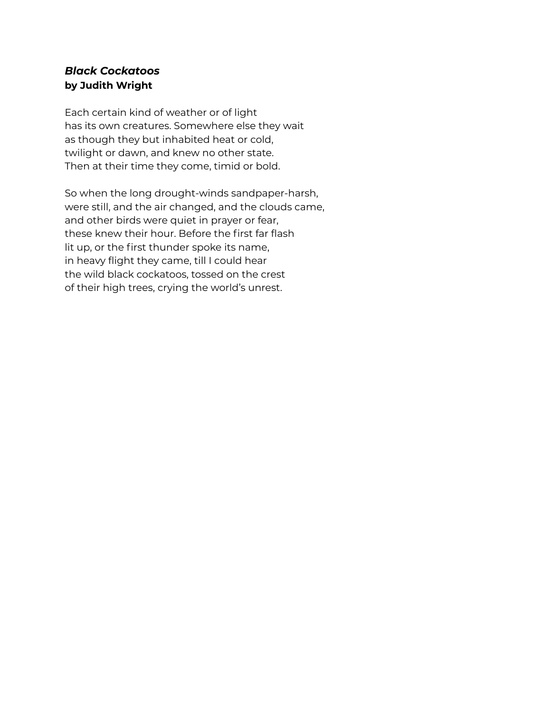#### *Black Cockatoos* **by Judith Wright**

Each certain kind of weather or of light has its own creatures. Somewhere else they wait as though they but inhabited heat or cold, twilight or dawn, and knew no other state. Then at their time they come, timid or bold.

So when the long drought-winds sandpaper-harsh, were still, and the air changed, and the clouds came, and other birds were quiet in prayer or fear, these knew their hour. Before the first far flash lit up, or the first thunder spoke its name, in heavy flight they came, till I could hear the wild black cockatoos, tossed on the crest of their high trees, crying the world's unrest.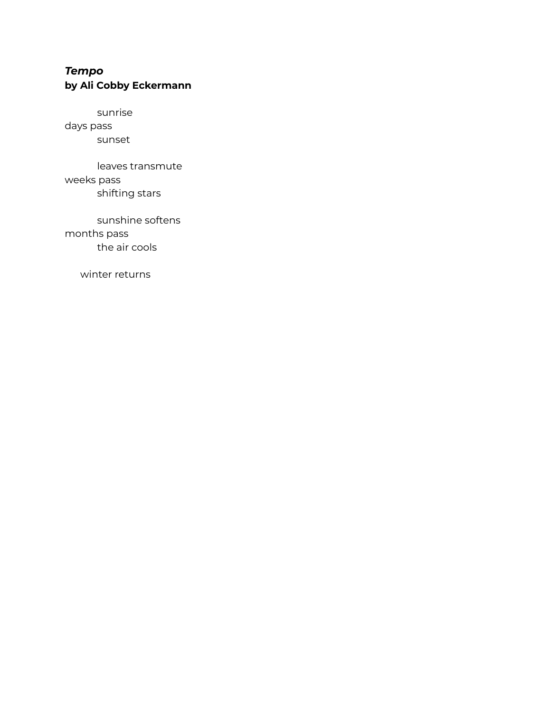# *Tempo* **by Ali Cobby Eckermann**

sunrise days pass sunset

leaves transmute weeks pass shifting stars

sunshine softens months pass the air cools

winter returns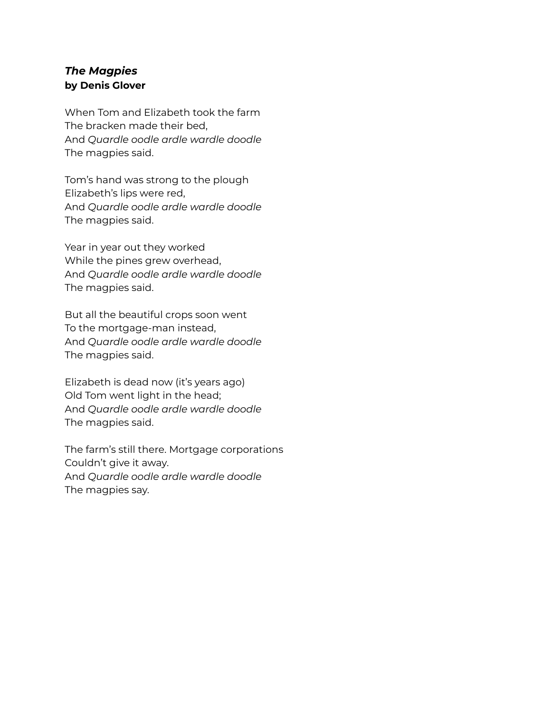#### *The Magpies* **by Denis Glover**

When Tom and Elizabeth took the farm The bracken made their bed, And *Quardle oodle ardle wardle doodle* The magpies said.

Tom's hand was strong to the plough Elizabeth's lips were red, And *Quardle oodle ardle wardle doodle* The magpies said.

Year in year out they worked While the pines grew overhead, And *Quardle oodle ardle wardle doodle* The magpies said.

But all the beautiful crops soon went To the mortgage-man instead, And *Quardle oodle ardle wardle doodle* The magpies said.

Elizabeth is dead now (it's years ago) Old Tom went light in the head; And *Quardle oodle ardle wardle doodle* The magpies said.

The farm's still there. Mortgage corporations Couldn't give it away. And *Quardle oodle ardle wardle doodle* The magpies say.